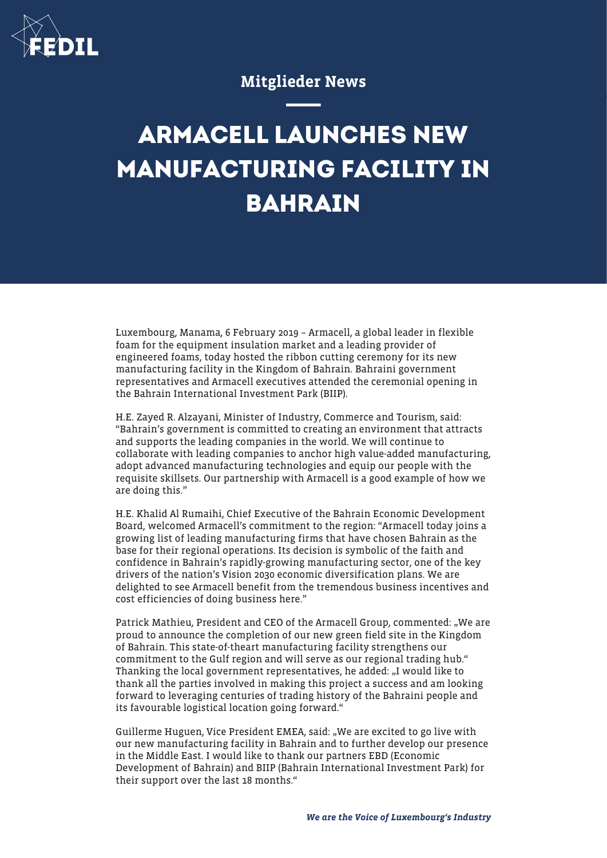

## Mitglieder News

## **ARMACELL LAUNCHES NEW MANUFACTURING FACILITY IN BAHRAIN**

Luxembourg, Manama, 6 February 2019 – Armacell, a global leader in flexible foam for the equipment insulation market and a leading provider of engineered foams, today hosted the ribbon cutting ceremony for its new manufacturing facility in the Kingdom of Bahrain. Bahraini government representatives and Armacell executives attended the ceremonial opening in the Bahrain International Investment Park (BIIP).

H.E. Zayed R. Alzayani, Minister of Industry, Commerce and Tourism, said: "Bahrain's government is committed to creating an environment that attracts and supports the leading companies in the world. We will continue to collaborate with leading companies to anchor high value-added manufacturing, adopt advanced manufacturing technologies and equip our people with the requisite skillsets. Our partnership with Armacell is a good example of how we are doing this."

H.E. Khalid Al Rumaihi, Chief Executive of the Bahrain Economic Development Board, welcomed Armacell's commitment to the region: "Armacell today joins a growing list of leading manufacturing firms that have chosen Bahrain as the base for their regional operations. Its decision is symbolic of the faith and confidence in Bahrain's rapidly-growing manufacturing sector, one of the key drivers of the nation's Vision 2030 economic diversification plans. We are delighted to see Armacell benefit from the tremendous business incentives and cost efficiencies of doing business here."

Patrick Mathieu, President and CEO of the Armacell Group, commented: "We are proud to announce the completion of our new green field site in the Kingdom of Bahrain. This state-of-theart manufacturing facility strengthens our commitment to the Gulf region and will serve as our regional trading hub." Thanking the local government representatives, he added: "I would like to thank all the parties involved in making this project a success and am looking forward to leveraging centuries of trading history of the Bahraini people and its favourable logistical location going forward."

Guillerme Huguen, Vice President EMEA, said: "We are excited to go live with our new manufacturing facility in Bahrain and to further develop our presence in the Middle East. I would like to thank our partners EBD (Economic Development of Bahrain) and BIIP (Bahrain International Investment Park) for their support over the last 18 months."